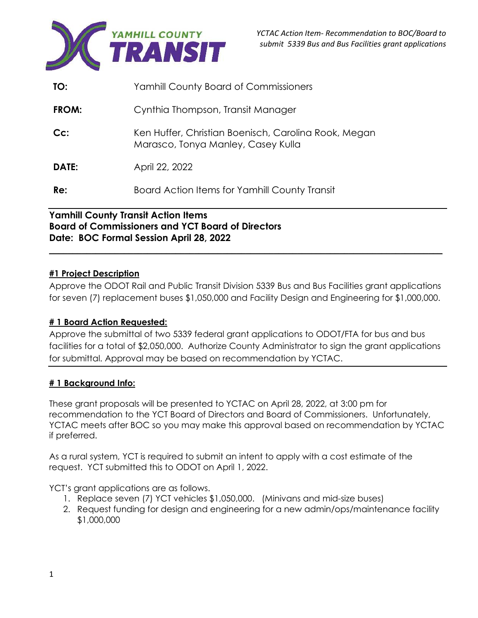

| TO:    | <b>Yamhill County Board of Commissioners</b>                                               |
|--------|--------------------------------------------------------------------------------------------|
| FROM:  | Cynthia Thompson, Transit Manager                                                          |
| $Cc$ : | Ken Huffer, Christian Boenisch, Carolina Rook, Megan<br>Marasco, Tonya Manley, Casey Kulla |
| DATE:  | April 22, 2022                                                                             |
| Re:    | Board Action Items for Yamhill County Transit                                              |

## **Yamhill County Transit Action Items Board of Commissioners and YCT Board of Directors Date: BOC Formal Session April 28, 2022**

## **#1 Project Description**

Approve the ODOT Rail and Public Transit Division 5339 Bus and Bus Facilities grant applications for seven (7) replacement buses \$1,050,000 and Facility Design and Engineering for \$1,000,000.

\_\_\_\_\_\_\_\_\_\_\_\_\_\_\_\_\_\_\_\_\_\_\_\_\_\_\_\_\_\_\_\_\_\_\_\_\_\_\_\_\_\_\_\_\_\_\_\_\_\_\_\_\_\_\_\_\_\_\_\_\_\_\_\_\_\_\_\_\_\_\_\_\_\_\_\_\_\_\_\_\_\_\_\_

## **# 1 Board Action Requested:**

Approve the submittal of two 5339 federal grant applications to ODOT/FTA for bus and bus facilities for a total of \$2,050,000. Authorize County Administrator to sign the grant applications for submittal. Approval may be based on recommendation by YCTAC.

## **# 1 Background Info:**

These grant proposals will be presented to YCTAC on April 28, 2022, at 3:00 pm for recommendation to the YCT Board of Directors and Board of Commissioners. Unfortunately, YCTAC meets after BOC so you may make this approval based on recommendation by YCTAC if preferred.

As a rural system, YCT is required to submit an intent to apply with a cost estimate of the request. YCT submitted this to ODOT on April 1, 2022.

YCT's grant applications are as follows.

- 1. Replace seven (7) YCT vehicles \$1,050,000. (Minivans and mid-size buses)
- 2. Request funding for design and engineering for a new admin/ops/maintenance facility \$1,000,000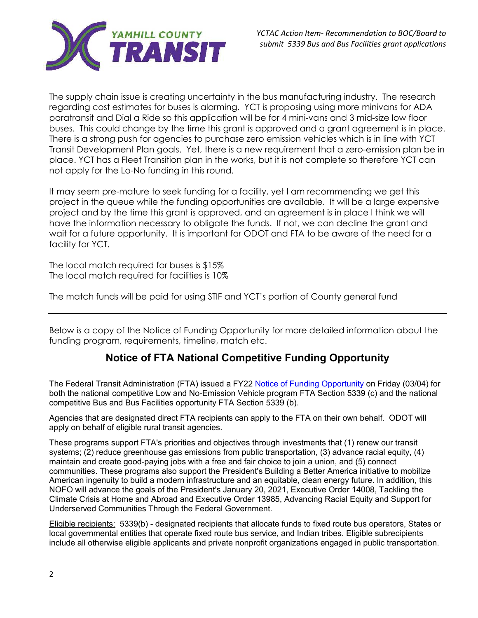

The supply chain issue is creating uncertainty in the bus manufacturing industry. The research regarding cost estimates for buses is alarming. YCT is proposing using more minivans for ADA paratransit and Dial a Ride so this application will be for 4 mini-vans and 3 mid-size low floor buses. This could change by the time this grant is approved and a grant agreement is in place. There is a strong push for agencies to purchase zero emission vehicles which is in line with YCT Transit Development Plan goals. Yet, there is a new requirement that a zero-emission plan be in place. YCT has a Fleet Transition plan in the works, but it is not complete so therefore YCT can not apply for the Lo-No funding in this round.

It may seem pre-mature to seek funding for a facility, yet I am recommending we get this project in the queue while the funding opportunities are available. It will be a large expensive project and by the time this grant is approved, and an agreement is in place I think we will have the information necessary to obligate the funds. If not, we can decline the grant and wait for a future opportunity. It is important for ODOT and FTA to be aware of the need for a facility for YCT.

The local match required for buses is \$15% The local match required for facilities is 10%

The match funds will be paid for using STIF and YCT's portion of County general fund

Below is a copy of the Notice of Funding Opportunity for more detailed information about the funding program, requirements, timeline, match etc.

# **Notice of FTA National Competitive Funding Opportunity**

The Federal Transit Administration (FTA) issued a FY22 Notice of Funding Opportunity on Friday (03/04) for both the national competitive Low and No-Emission Vehicle program FTA Section 5339 (c) and the national competitive Bus and Bus Facilities opportunity FTA Section 5339 (b).

Agencies that are designated direct FTA recipients can apply to the FTA on their own behalf. ODOT will apply on behalf of eligible rural transit agencies.

These programs support FTA's priorities and objectives through investments that (1) renew our transit systems; (2) reduce greenhouse gas emissions from public transportation, (3) advance racial equity, (4) maintain and create good-paying jobs with a free and fair choice to join a union, and (5) connect communities. These programs also support the President's Building a Better America initiative to mobilize American ingenuity to build a modern infrastructure and an equitable, clean energy future. In addition, this NOFO will advance the goals of the President's January 20, 2021, Executive Order 14008, Tackling the Climate Crisis at Home and Abroad and Executive Order 13985, Advancing Racial Equity and Support for Underserved Communities Through the Federal Government.

Eligible recipients: 5339(b) - designated recipients that allocate funds to fixed route bus operators, States or local governmental entities that operate fixed route bus service, and Indian tribes. Eligible subrecipients include all otherwise eligible applicants and private nonprofit organizations engaged in public transportation.